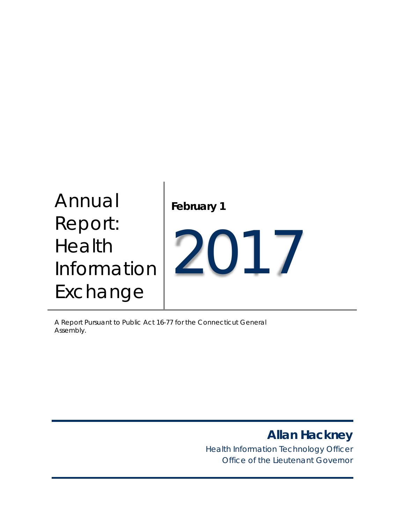# Annual Report: Health Information Exchange **February 1** 2017

A Report Pursuant to Public Act 16-77 for the Connecticut General Assembly.

*Allan Hackney*

*Health Information Technology Officer Office of the Lieutenant Governor*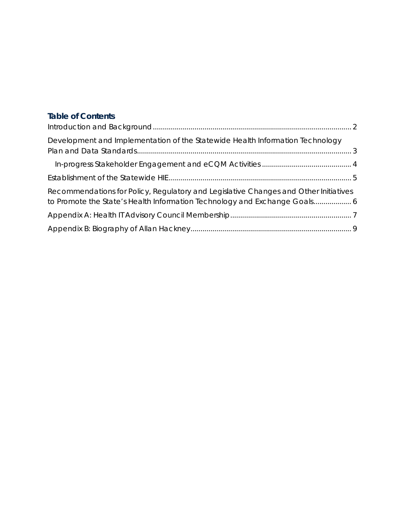## **Table of Contents**

| Development and Implementation of the Statewide Health Information Technology        |  |
|--------------------------------------------------------------------------------------|--|
|                                                                                      |  |
|                                                                                      |  |
| Recommendations for Policy, Regulatory and Legislative Changes and Other Initiatives |  |
|                                                                                      |  |
|                                                                                      |  |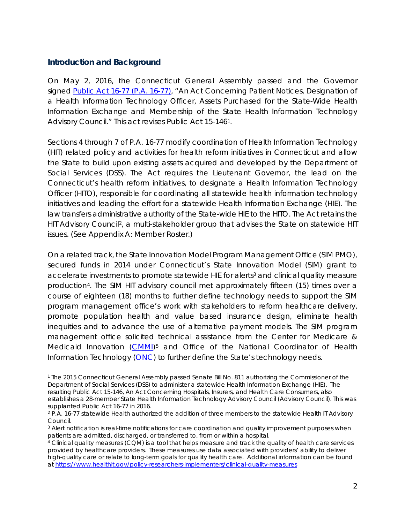## <span id="page-2-0"></span>**Introduction and Background**

On May 2, 2016, the Connecticut General Assembly passed and the Governor signed [Public Act 16-77](https://www.cga.ct.gov/asp/cgabillstatus/cgabillstatus.asp?selBillType=Bill&which_year=2016&bill_num=289) (P.A. 16-77), "*An Act Concerning Patient Notices, Designation of a Health Information Technology Officer, Assets Purchased for the State-Wide Health Information Exchange and Membership of the State Health Information Technology Advisory Council.*" This act revises Public Act 15-146[1.](#page-2-1)

Sections 4 through 7 of P.A. 16-77 modify coordination of Health Information Technology (HIT) related policy and activities for health reform initiatives in Connecticut and allow the State to build upon existing assets acquired and developed by the Department of Social Services (DSS). The Act requires the Lieutenant Governor, the lead on the Connecticut's health reform initiatives, to designate a Health Information Technology Officer (HITO), responsible for coordinating all statewide health information technology initiatives and leading the effort for a statewide Health Information Exchange (HIE). The law transfers administrative authority of the State-wide HIE to the HITO. The Act retains the HIT Advisory Council<sup>2</sup>, a multi-stakeholder group that advises the State on statewide HIT issues. (See Appendix A: Member Roster.)

On a related track, the State Innovation Model Program Management Office (SIM PMO), secured funds in 2014 under Connecticut's State Innovation Model (SIM) grant to accelerate investments to promote statewide HIE for alerts<sup>[3](#page-2-3)</sup> and clinical quality measure production[4.](#page-2-4) The SIM HIT advisory council met approximately fifteen (15) times over a course of eighteen (18) months to further define technology needs to support the SIM program management office's work with stakeholders to reform healthcare delivery, promote population health and value based insurance design, eliminate health inequities and to advance the use of alternative payment models. The SIM program management office solicited technical assistance from the Center for Medicare & Medicaid Innovation [\(CMMI\)](https://innovation.cms.gov/About/index.html)[5](#page-2-5) and Office of the National Coordinator of Health Information Technology [\(ONC\)](https://www.healthit.gov/) to further define the State's technology needs.

<span id="page-2-1"></span> <sup>1</sup> The 2015 Connecticut General Assembly passed Senate Bill No. 811 authorizing the Commissioner of the Department of Social Services (DSS) to administer a statewide Health Information Exchange (HIE). The resulting Public Act 15-146, An Act Concerning Hospitals, Insurers, and Health Care Consumers, also establishes a 28-member State Health Information Technology Advisory Council (Advisory Council). This was supplanted Public Act 16-77 in 2016.

<span id="page-2-2"></span><sup>&</sup>lt;sup>2</sup> P.A. 16-77 statewide Health authorized the addition of three members to the statewide Health IT Advisory Council.

<span id="page-2-3"></span><sup>&</sup>lt;sup>3</sup> Alert notification is real-time notifications for care coordination and quality improvement purposes when patients are admitted, discharged, or transferred to, from or within a hospital.

<span id="page-2-5"></span><span id="page-2-4"></span><sup>4</sup> Clinical quality measures (CQM) is a tool that helps measure and track the quality of health care services provided by healthcare providers. These measures use data associated with providers' ability to deliver high-quality care or relate to long-term goals for quality health care. Additional information can be found a[t https://www.healthit.gov/policy-researchers-implementers/clinical-quality-measures](https://www.healthit.gov/policy-researchers-implementers/clinical-quality-measures)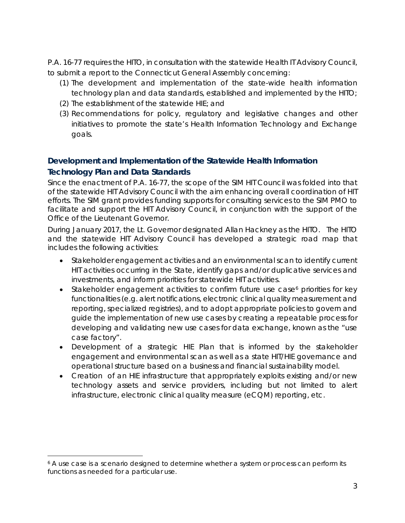P.A. 16-77 requires the HITO, in consultation with the statewide Health IT Advisory Council, to submit a report to the Connecticut General Assembly concerning:

- (1) The development and implementation of the state-wide health information technology plan and data standards, established and implemented by the HITO;
- (2) The establishment of the statewide HIE; and
- (3) Recommendations for policy, regulatory and legislative changes and other initiatives to promote the state's Health Information Technology and Exchange goals.

## <span id="page-3-0"></span>**Development and Implementation of the Statewide Health Information Technology Plan and Data Standards**

Since the enactment of P.A. 16-77, the scope of the SIM HIT Council was folded into that of the statewide HIT Advisory Council with the aim enhancing overall coordination of HIT efforts. The SIM grant provides funding supports for consulting services to the SIM PMO to facilitate and support the HIT Advisory Council, in conjunction with the support of the Office of the Lieutenant Governor.

During January 2017, the Lt. Governor designated Allan Hackney as the HITO. The HITO and the statewide HIT Advisory Council has developed a strategic road map that includes the following activities:

- Stakeholder engagement activities and an environmental scan to identify current HIT activities occurring in the State, identify gaps and/or duplicative services and investments, and inform priorities for statewide HIT activities.
- Stakeholder engagement activities to confirm future use case<sup>[6](#page-3-1)</sup> priorities for key functionalities (e.g. alert notifications, electronic clinical quality measurement and reporting, specialized registries), and to adopt appropriate policies to govern and guide the implementation of new use cases by creating a repeatable process for developing and validating new use cases for data exchange, known as the "use case factory".
- Development of a strategic HIE Plan that is informed by the stakeholder engagement and environmental scan as well as a state HIT/HIE governance and operational structure based on a business and financial sustainability model.
- Creation of an HIE infrastructure that appropriately exploits existing and/or new technology assets and service providers, including but not limited to alert infrastructure, electronic clinical quality measure (eCQM) reporting, etc.

<span id="page-3-1"></span><sup>&</sup>lt;sup>6</sup> A use case is a scenario designed to determine whether a system or process can perform its functions as needed for a particular use.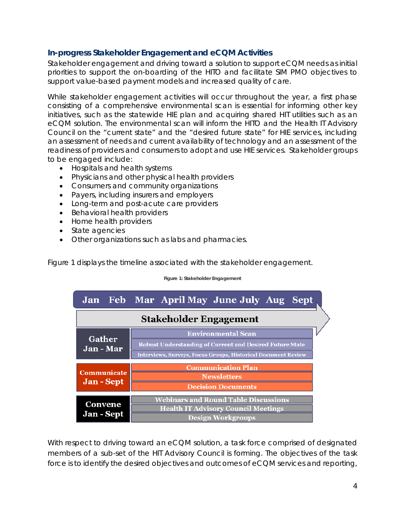## <span id="page-4-0"></span>**In-progress Stakeholder Engagement and eCQM Activities**

Stakeholder engagement and driving toward a solution to support eCQM needs as initial priorities to support the on-boarding of the HITO and facilitate SIM PMO objectives to support value-based payment models and increased quality of care.

While stakeholder engagement activities will occur throughout the year, a first phase consisting of a comprehensive environmental scan is essential for informing other key initiatives, such as the statewide HIE plan and acquiring shared HIT utilities such as an eCQM solution. The environmental scan will inform the HITO and the Health IT Advisory Council on the "current state" and the "desired future state" for HIE services, including an assessment of needs and current availability of technology and an assessment of the readiness of providers and consumers to adopt and use HIE services. Stakeholder groups to be engaged include:

- Hospitals and health systems
- Physicians and other physical health providers
- Consumers and community organizations
- Payers, including insurers and employers
- Long-term and post-acute care providers
- Behavioral health providers
- Home health providers
- State agencies
- Other organizations such as labs and pharmacies.

Figure 1 displays the timeline associated with the stakeholder engagement.

**Figure 1: Stakeholder Engagement**

|                                   |  |                                                                      |  | Jan Feb Mar April May June July Aug Sept    |  |  |
|-----------------------------------|--|----------------------------------------------------------------------|--|---------------------------------------------|--|--|
| <b>Stakeholder Engagement</b>     |  |                                                                      |  |                                             |  |  |
| <b>Gather</b><br><b>Jan</b> - Mar |  |                                                                      |  | <b>Environmental Scan</b>                   |  |  |
|                                   |  | <b>Robust Understanding of Current and Desired Future State</b>      |  |                                             |  |  |
|                                   |  | <b>Interviews, Surveys, Focus Groups, Historical Document Review</b> |  |                                             |  |  |
|                                   |  |                                                                      |  | <b>Communication Plan</b>                   |  |  |
| <b>Communicate</b>                |  | <b>Newsletters</b>                                                   |  |                                             |  |  |
| <b>Jan</b> - Sept                 |  | <b>Decision Documents</b>                                            |  |                                             |  |  |
|                                   |  |                                                                      |  | <b>Webinars and Round Table Discussions</b> |  |  |
| <b>Convene</b>                    |  |                                                                      |  | <b>Health IT Advisory Council Meetings</b>  |  |  |
| <b>Jan</b> - Sept                 |  |                                                                      |  | <b>Design Workgroups</b>                    |  |  |

With respect to driving toward an eCQM solution, a task force comprised of designated members of a sub-set of the HIT Advisory Council is forming. The objectives of the task force is to identify the desired objectives and outcomes of eCQM services and reporting,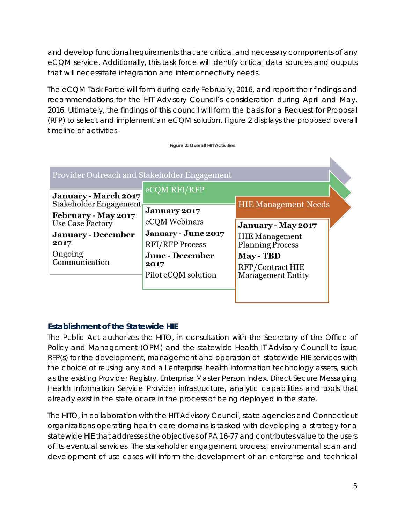and develop functional requirements that are critical and necessary components of any eCQM service. Additionally, this task force will identify critical data sources and outputs that will necessitate integration and interconnectivity needs.

The eCQM Task Force will form during early February, 2016, and report their findings and recommendations for the HIT Advisory Council's consideration during April and May, 2016. Ultimately, the findings of this council will form the basis for a Request for Proposal (RFP) to select and implement an eCQM solution. Figure 2 displays the proposed overall timeline of activities.

| Provider Outreach and Stakeholder Engagement                                                   |                                                                                 |                                                                                      |
|------------------------------------------------------------------------------------------------|---------------------------------------------------------------------------------|--------------------------------------------------------------------------------------|
| <b>January - March 2017</b>                                                                    | eCQM RFI/RFP                                                                    |                                                                                      |
| Stakeholder Engagement<br>February - May 2017<br>Use Case Factory<br><b>January</b> - December | <b>January 2017</b><br>eCQM Webinars<br>January - June 2017                     | <b>HIE Management Needs</b><br>January - May 2017<br><b>HIE</b> Management           |
| 2017<br>Ongoing<br>Communication                                                               | <b>RFI/RFP Process</b><br><b>June</b> - December<br>2017<br>Pilot eCQM solution | <b>Planning Process</b><br>May - TBD<br>RFP/Contract HIE<br><b>Management Entity</b> |

## <span id="page-5-0"></span>**Establishment of the Statewide HIE**

The Public Act authorizes the HITO, in consultation with the Secretary of the Office of Policy and Management (OPM) and the statewide Health IT Advisory Council to issue RFP(s) for the development, management and operation of statewide HIE services with the choice of reusing any and all enterprise health information technology assets, such as the existing Provider Registry, Enterprise Master Person Index, Direct Secure Messaging Health Information Service Provider infrastructure, analytic capabilities and tools that already exist in the state or are in the process of being deployed in the state.

The HITO, in collaboration with the HIT Advisory Council, state agencies and Connecticut organizations operating health care domains is tasked with developing a strategy for a statewide HIE that addresses the objectives of PA 16-77 and contributes value to the users of its eventual services. The stakeholder engagement process, environmental scan and development of use cases will inform the development of an enterprise and technical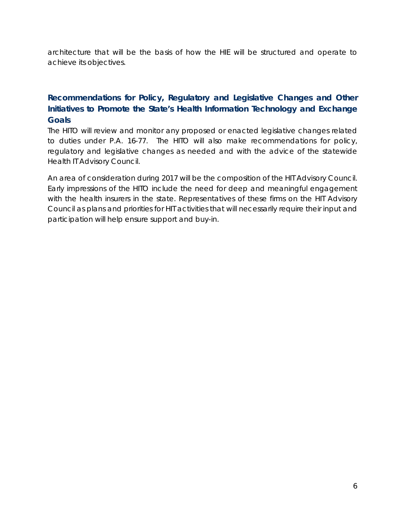architecture that will be the basis of how the HIE will be structured and operate to achieve its objectives.

## <span id="page-6-0"></span>**Recommendations for Policy, Regulatory and Legislative Changes and Other Initiatives to Promote the State's Health Information Technology and Exchange Goals**

The HITO will review and monitor any proposed or enacted legislative changes related to duties under P.A. 16-77. The HITO will also make recommendations for policy, regulatory and legislative changes as needed and with the advice of the statewide Health IT Advisory Council.

An area of consideration during 2017 will be the composition of the HIT Advisory Council. Early impressions of the HITO include the need for deep and meaningful engagement with the health insurers in the state. Representatives of these firms on the HIT Advisory Council as plans and priorities for HIT activities that will necessarily require their input and participation will help ensure support and buy-in.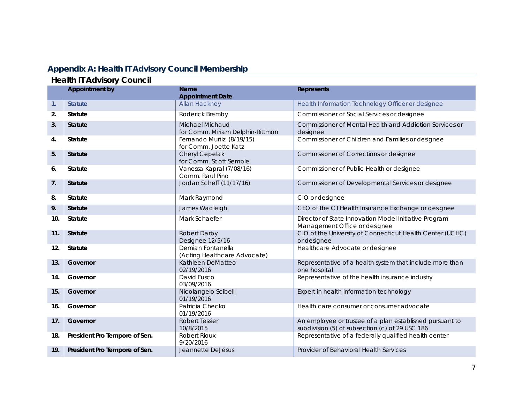## **Appendix A: Health IT Advisory Council Membership**

## **Health IT Advisory Council**

<span id="page-7-0"></span>

|     | 100<br><b>Appointment by</b>  | <b>Name</b>                                         | <b>Represents</b>                                                                                           |
|-----|-------------------------------|-----------------------------------------------------|-------------------------------------------------------------------------------------------------------------|
|     |                               | <b>Appointment Date</b>                             |                                                                                                             |
| 1.  | <b>Statute</b>                | <b>Allan Hackney</b>                                | Health Information Technology Officer or designee                                                           |
| 2.  | <b>Statute</b>                | Roderick Bremby                                     | Commissioner of Social Services or designee                                                                 |
| 3.  | <b>Statute</b>                | Michael Michaud<br>for Comm. Miriam Delphin-Rittmon | Commissioner of Mental Health and Addiction Services or<br>designee                                         |
| 4.  | <b>Statute</b>                | Fernando Muñiz (8/19/15)<br>for Comm. Joette Katz   | Commissioner of Children and Families or designee                                                           |
| 5.  | <b>Statute</b>                | Cheryl Cepelak<br>for Comm. Scott Semple            | Commissioner of Corrections or designee                                                                     |
| 6.  | <b>Statute</b>                | Vanessa Kapral (7/08/16)<br>Comm. Raul Pino         | Commissioner of Public Health or designee                                                                   |
| 7.  | <b>Statute</b>                | Jordan Scheff (11/17/16)                            | Commissioner of Developmental Services or designee                                                          |
| 8.  | Statute                       | Mark Raymond                                        | CIO or designee                                                                                             |
| 9.  | <b>Statute</b>                | James Wadleigh                                      | CEO of the CT Health Insurance Exchange or designee                                                         |
| 10. | <b>Statute</b>                | Mark Schaefer                                       | Director of State Innovation Model Initiative Program<br>Management Office or designee                      |
| 11. | <b>Statute</b>                | Robert Darby<br>Designee 12/5/16                    | CIO of the University of Connecticut Health Center (UCHC)<br>or designee                                    |
| 12. | <b>Statute</b>                | Demian Fontanella<br>(Acting Healthcare Advocate)   | Healthcare Advocate or designee                                                                             |
| 13. | Governor                      | Kathleen DeMatteo<br>02/19/2016                     | Representative of a health system that include more than<br>one hospital                                    |
| 14. | Governor                      | David Fusco<br>03/09/2016                           | Representative of the health insurance industry                                                             |
| 15. | Governor                      | Nicolangelo Scibelli<br>01/19/2016                  | Expert in health information technology                                                                     |
| 16. | Governor                      | Patricia Checko<br>01/19/2016                       | Health care consumer or consumer advocate                                                                   |
| 17. | Governor                      | <b>Robert Tessier</b><br>10/8/2015                  | An employee or trustee of a plan established pursuant to<br>subdivision (5) of subsection (c) of 29 USC 186 |
| 18. | President Pro Tempore of Sen. | Robert Rioux<br>9/20/2016                           | Representative of a federally qualified health center                                                       |
| 19. | President Pro Tempore of Sen. | Jeannette DeJésus                                   | Provider of Behavioral Health Services                                                                      |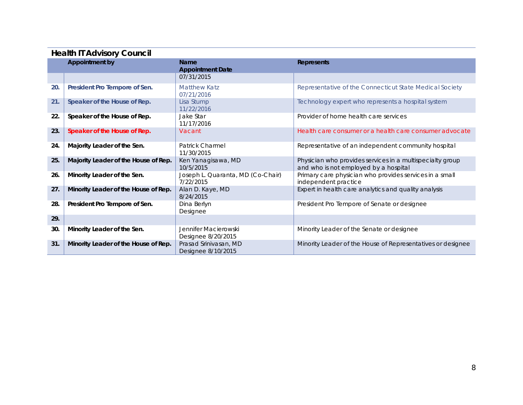| <b>Health IT Advisory Council</b> |                                      |                                                |                                                                                                    |  |
|-----------------------------------|--------------------------------------|------------------------------------------------|----------------------------------------------------------------------------------------------------|--|
|                                   | <b>Appointment by</b>                | <b>Name</b><br><b>Appointment Date</b>         | <b>Represents</b>                                                                                  |  |
|                                   |                                      | 07/31/2015                                     |                                                                                                    |  |
| 20.                               | President Pro Tempore of Sen.        | <b>Matthew Katz</b><br>07/21/2016              | Representative of the Connecticut State Medical Society                                            |  |
| 21.                               | Speaker of the House of Rep.         | Lisa Stump<br>11/22/2016                       | Technology expert who represents a hospital system                                                 |  |
| 22.                               | Speaker of the House of Rep.         | Jake Star<br>11/17/2016                        | Provider of home health care services                                                              |  |
| 23.                               | Speaker of the House of Rep.         | Vacant                                         | Health care consumer or a health care consumer advocate                                            |  |
| 24.                               | Majority Leader of the Sen.          | <b>Patrick Charmel</b><br>11/30/2015           | Representative of an independent community hospital                                                |  |
| 25.                               | Majority Leader of the House of Rep. | Ken Yanagisawa, MD<br>10/5/2015                | Physician who provides services in a multispecialty group<br>and who is not employed by a hospital |  |
| 26.                               | Minority Leader of the Sen.          | Joseph L. Quaranta, MD (Co-Chair)<br>7/22/2015 | Primary care physician who provides services in a small<br>independent practice                    |  |
| 27.                               | Minority Leader of the House of Rep. | Alan D. Kaye, MD<br>8/24/2015                  | Expert in health care analytics and quality analysis                                               |  |
| 28.                               | President Pro Tempore of Sen.        | Dina Berlyn<br>Designee                        | President Pro Tempore of Senate or designee                                                        |  |
| 29.                               |                                      |                                                |                                                                                                    |  |
| 30.                               | Minority Leader of the Sen.          | Jennifer Macierowski<br>Designee 8/20/2015     | Minority Leader of the Senate or designee                                                          |  |
| 31.                               | Minority Leader of the House of Rep. | Prasad Srinivasan, MD<br>Designee 8/10/2015    | Minority Leader of the House of Representatives or designee                                        |  |